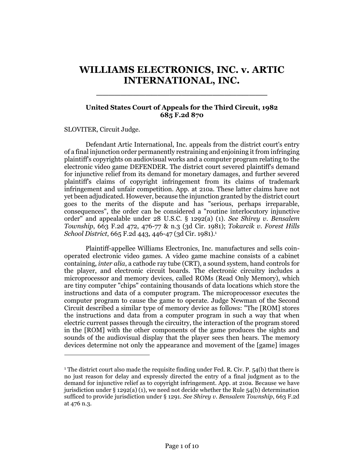## **WILLIAMS ELECTRONICS, INC. v. ARTIC INTERNATIONAL, INC.**

\_\_\_\_\_\_\_\_\_\_\_\_\_\_\_\_\_\_\_\_\_\_\_\_\_\_\_\_

## **United States Court of Appeals for the Third Circuit, 1982 685 F.2d 870**

SLOVITER, Circuit Judge.

 $\overline{a}$ 

Defendant Artic International, Inc. appeals from the district court's entry of a final injunction order permanently restraining and enjoining it from infringing plaintiff's copyrights on audiovisual works and a computer program relating to the electronic video game DEFENDER. The district court severed plaintiff's demand for injunctive relief from its demand for monetary damages, and further severed plaintiff's claims of copyright infringement from its claims of trademark infringement and unfair competition. App. at 210a. These latter claims have not yet been adjudicated. However, because the injunction granted by the district court goes to the merits of the dispute and has "serious, perhaps irreparable, consequences", the order can be considered a "routine interlocutory injunctive order" and appealable under 28 U.S.C. § 1292(a) (1). *See Shirey v. Bensalem Township*, 663 F.2d 472, 476-77 & n.3 (3d Cir. 1981); *Tokarcik v. Forest Hills School District*, 665 F.2d 443, 446-47 (3d Cir. 1981).<sup>1</sup>

Plaintiff-appellee Williams Electronics, Inc. manufactures and sells coinoperated electronic video games. A video game machine consists of a cabinet containing, *inter alia*, a cathode ray tube (CRT), a sound system, hand controls for the player, and electronic circuit boards. The electronic circuitry includes a microprocessor and memory devices, called ROMs (Read Only Memory), which are tiny computer "chips" containing thousands of data locations which store the instructions and data of a computer program. The microprocessor executes the computer program to cause the game to operate. Judge Newman of the Second Circuit described a similar type of memory device as follows: "The [ROM] stores the instructions and data from a computer program in such a way that when electric current passes through the circuitry, the interaction of the program stored in the [ROM] with the other components of the game produces the sights and sounds of the audiovisual display that the player sees then hears. The memory devices determine not only the appearance and movement of the [game] images

<sup>&</sup>lt;sup>1</sup> The district court also made the requisite finding under Fed. R. Civ. P.  $54(b)$  that there is no just reason for delay and expressly directed the entry of a final judgment as to the demand for injunctive relief as to copyright infringement. App. at 210a. Because we have jurisdiction under § 1292(a) (1), we need not decide whether the Rule 54(b) determination sufficed to provide jurisdiction under § 1291. *See Shirey v. Bensalem Township*, 663 F.2d at 476 n.3.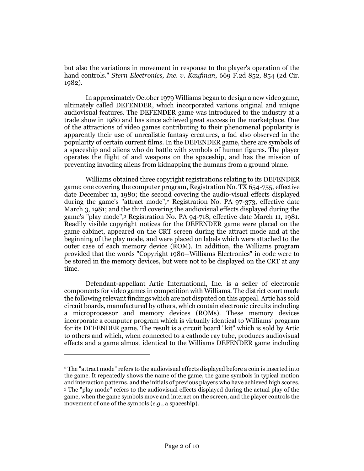but also the variations in movement in response to the player's operation of the hand controls." *Stern Electronics, Inc. v. Kaufman*, 669 F.2d 852, 854 (2d Cir. 1982).

In approximately October 1979 Williams began to design a new video game, ultimately called DEFENDER, which incorporated various original and unique audiovisual features. The DEFENDER game was introduced to the industry at a trade show in 1980 and has since achieved great success in the marketplace. One of the attractions of video games contributing to their phenomenal popularity is apparently their use of unrealistic fantasy creatures, a fad also observed in the popularity of certain current films. In the DEFENDER game, there are symbols of a spaceship and aliens who do battle with symbols of human figures. The player operates the flight of and weapons on the spaceship, and has the mission of preventing invading aliens from kidnapping the humans from a ground plane.

Williams obtained three copyright registrations relating to its DEFENDER game: one covering the computer program, Registration No. TX 654-755, effective date December 11, 1980; the second covering the audio-visual effects displayed during the game's "attract mode",<sup>2</sup> Registration No. PA 97-373, effective date March 3, 1981; and the third covering the audiovisual effects displayed during the game's "play mode",<sup>3</sup> Registration No. PA 94-718, effective date March 11, 1981. Readily visible copyright notices for the DEFENDER game were placed on the game cabinet, appeared on the CRT screen during the attract mode and at the beginning of the play mode, and were placed on labels which were attached to the outer case of each memory device (ROM). In addition, the Williams program provided that the words "Copyright 1980--Williams Electronics" in code were to be stored in the memory devices, but were not to be displayed on the CRT at any time.

Defendant-appellant Artic International, Inc. is a seller of electronic components for video games in competition with Williams. The district court made the following relevant findings which are not disputed on this appeal. Artic has sold circuit boards, manufactured by others, which contain electronic circuits including a microprocessor and memory devices (ROMs). These memory devices incorporate a computer program which is virtually identical to Williams' program for its DEFENDER game. The result is a circuit board "kit" which is sold by Artic to others and which, when connected to a cathode ray tube, produces audiovisual effects and a game almost identical to the Williams DEFENDER game including

 $\overline{a}$ 

<sup>2</sup> The "attract mode" refers to the audiovisual effects displayed before a coin is inserted into the game. It repeatedly shows the name of the game, the game symbols in typical motion and interaction patterns, and the initials of previous players who have achieved high scores. <sup>3</sup> The "play mode" refers to the audiovisual effects displayed during the actual play of the game, when the game symbols move and interact on the screen, and the player controls the movement of one of the symbols (*e.g.*, a spaceship).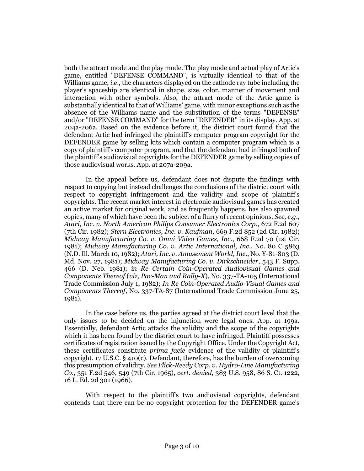both the attract mode and the play mode. The play mode and actual play of Artic's game, entitled "DEFENSE COMMAND", is virtually identical to that of the Williams game, *i.e*., the characters displayed on the cathode ray tube including the player's spaceship are identical in shape, size, color, manner of movement and interaction with other symbols. Also, the attract mode of the Artic game is substantially identical to that of Williams' game, with minor exceptions such as the absence of the Williams name and the substitution of the terms "DEFENSE" and/or "DEFENSE COMMAND" for the term "DEFENDER" in its display. App. at 204a-206a. Based on the evidence before it, the district court found that the defendant Artic had infringed the plaintiff's computer program copyright for the DEFENDER game by selling kits which contain a computer program which is a copy of plaintiff's computer program, and that the defendant had infringed both of the plaintiff's audiovisual copyrights for the DEFENDER game by selling copies of those audiovisual works. App. at 207a-209a.

In the appeal before us, defendant does not dispute the findings with respect to copying but instead challenges the conclusions of the district court with respect to copyright infringement and the validity and scope of plaintiff's copyrights. The recent market interest in electronic audiovisual games has created an active market for original work, and as frequently happens, has also spawned copies, many of which have been the subject of a flurry of recent opinions. *See, e.g., Atari, Inc. v. North American Philips Consumer Electronics Corp*., 672 F.2d 607 (7th Cir. 1982); *Stern Electronics, Inc. v. Kaufman*, 669 F.2d 852 (2d Cir. 1982); *Midway Manufacturing Co. v. Omni Video Games, Inc*., 668 F.2d 70 (1st Cir. 1981); *Midway Manufacturing Co. v. Artic International, Inc*., No. 80 C 5863 (N.D. Ill. March 10, 1982); *Atari, Inc. v. Amusement World, Inc*., No. Y-81-803 (D. Md. Nov. 27, 1981); *Midway Manufacturing Co. v. Dirkschneider*, 543 F. Supp. 466 (D. Neb. 1981); *in Re Certain Coin-Operated Audiovisual Games and Components Thereof* (*viz, Pac-Man and Rally-X*), No. 337-TA-105 (International Trade Commission July 1, 1982); *In Re Coin-Operated Audio-Visual Games and Components Thereof*, No. 337-TA-87 (International Trade Commission June 25, 1981).

In the case before us, the parties agreed at the district court level that the only issues to be decided on the injunction were legal ones. App. at 199a. Essentially, defendant Artic attacks the validity and the scope of the copyrights which it has been found by the district court to have infringed. Plaintiff possesses certificates of registration issued by the Copyright Office. Under the Copyright Act, these certificates constitute *prima facie* evidence of the validity of plaintiff's copyright. 17 U.S.C. § 410(c). Defendant, therefore, has the burden of overcoming this presumption of validity. *See Flick-Reedy Corp. v. Hydro-Line Manufacturing Co*., 351 F.2d 546, 549 (7th Cir. 1965), *cert. denied*, 383 U.S. 958, 86 S. Ct. 1222, 16 L. Ed. 2d 301 (1966).

With respect to the plaintiff's two audiovisual copyrights, defendant contends that there can be no copyright protection for the DEFENDER game's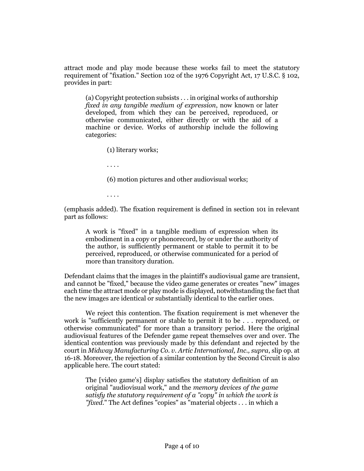attract mode and play mode because these works fail to meet the statutory requirement of "fixation." Section 102 of the 1976 Copyright Act, 17 U.S.C. § 102, provides in part:

(a) Copyright protection subsists . . . in original works of authorship *fixed in any tangible medium of expression*, now known or later developed, from which they can be perceived, reproduced, or otherwise communicated, either directly or with the aid of a machine or device. Works of authorship include the following categories:

(1) literary works;

. . . .

(6) motion pictures and other audiovisual works;

. . . .

(emphasis added). The fixation requirement is defined in section 101 in relevant part as follows:

A work is "fixed" in a tangible medium of expression when its embodiment in a copy or phonorecord, by or under the authority of the author, is sufficiently permanent or stable to permit it to be perceived, reproduced, or otherwise communicated for a period of more than transitory duration.

Defendant claims that the images in the plaintiff's audiovisual game are transient, and cannot be "fixed," because the video game generates or creates "new" images each time the attract mode or play mode is displayed, notwithstanding the fact that the new images are identical or substantially identical to the earlier ones.

We reject this contention. The fixation requirement is met whenever the work is "sufficiently permanent or stable to permit it to be . . . reproduced, or otherwise communicated" for more than a transitory period. Here the original audiovisual features of the Defender game repeat themselves over and over. The identical contention was previously made by this defendant and rejected by the court in *Midway Manufacturing Co. v. Artic International, Inc., supra*, slip op. at 16-18. Moreover, the rejection of a similar contention by the Second Circuit is also applicable here. The court stated:

The [video game's] display satisfies the statutory definition of an original "audiovisual work," and the *memory devices of the game satisfy the statutory requirement of a "copy" in which the work is "fixed*." The Act defines "copies" as "material objects . . . in which a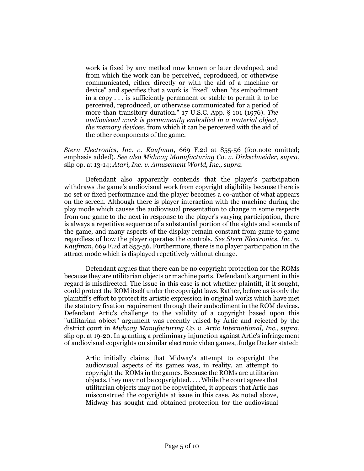work is fixed by any method now known or later developed, and from which the work can be perceived, reproduced, or otherwise communicated, either directly or with the aid of a machine or device" and specifies that a work is "fixed" when "its embodiment in a copy . . . is sufficiently permanent or stable to permit it to be perceived, reproduced, or otherwise communicated for a period of more than transitory duration." 17 U.S.C. App. § 101 (1976). *The audiovisual work is permanently embodied in a material object, the memory devices*, from which it can be perceived with the aid of the other components of the game.

*Stern Electronics, Inc. v. Kaufman*, 669 F.2d at 855-56 (footnote omitted; emphasis added). *See also Midway Manufacturing Co. v. Dirkschneider, supra*, slip op. at 13-14; *Atari, Inc. v. Amusement World, Inc., supra*.

Defendant also apparently contends that the player's participation withdraws the game's audiovisual work from copyright eligibility because there is no set or fixed performance and the player becomes a co-author of what appears on the screen. Although there is player interaction with the machine during the play mode which causes the audiovisual presentation to change in some respects from one game to the next in response to the player's varying participation, there is always a repetitive sequence of a substantial portion of the sights and sounds of the game, and many aspects of the display remain constant from game to game regardless of how the player operates the controls. *See Stern Electronics, Inc. v. Kaufman*, 669 F.2d at 855-56. Furthermore, there is no player participation in the attract mode which is displayed repetitively without change.

Defendant argues that there can be no copyright protection for the ROMs because they are utilitarian objects or machine parts. Defendant's argument in this regard is misdirected. The issue in this case is not whether plaintiff, if it sought, could protect the ROM itself under the copyright laws. Rather, before us is only the plaintiff's effort to protect its artistic expression in original works which have met the statutory fixation requirement through their embodiment in the ROM devices. Defendant Artic's challenge to the validity of a copyright based upon this "utilitarian object" argument was recently raised by Artic and rejected by the district court in *Midway Manufacturing Co. v. Artic International, Inc., supra*, slip op. at 19-20. In granting a preliminary injunction against Artic's infringement of audiovisual copyrights on similar electronic video games, Judge Decker stated:

Artic initially claims that Midway's attempt to copyright the audiovisual aspects of its games was, in reality, an attempt to copyright the ROMs in the games. Because the ROMs are utilitarian objects, they may not be copyrighted. . . . While the court agrees that utilitarian objects may not be copyrighted, it appears that Artic has misconstrued the copyrights at issue in this case. As noted above, Midway has sought and obtained protection for the audiovisual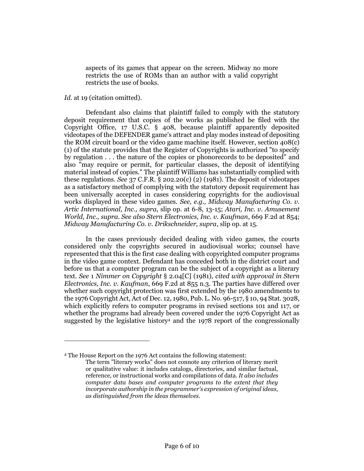aspects of its games that appear on the screen. Midway no more restricts the use of ROMs than an author with a valid copyright restricts the use of books.

## Id. at 19 (citation omitted).

 $\overline{a}$ 

Defendant also claims that plaintiff failed to comply with the statutory deposit requirement that copies of the works as published be filed with the Copyright Office, 17 U.S.C. § 408, because plaintiff apparently deposited videotapes of the DEFENDER game's attract and play modes instead of depositing the ROM circuit board or the video game machine itself. However, section 408(c) (1) of the statute provides that the Register of Copyrights is authorized "to specify by regulation . . . the nature of the copies or phonorecords to be deposited" and also "may require or permit, for particular classes, the deposit of identifying material instead of copies." The plaintiff Williams has substantially complied with these regulations. *See* 37 C.F.R. § 202.20(c) (2) (1981). The deposit of videotapes as a satisfactory method of complying with the statutory deposit requirement has been universally accepted in cases considering copyrights for the audiovisual works displayed in these video games. *See, e.g., Midway Manufacturing Co. v. Artic International, Inc., supra*, slip op. at 6-8, 13-15; *Atari, Inc. v. Amusement World, Inc., supra. See also Stern Electronics, Inc. v. Kaufman*, 669 F.2d at 854; *Midway Manufacturing Co. v. Drikschneider, supra*, slip op. at 15.

In the cases previously decided dealing with video games, the courts considered only the copyrights secured in audiovisual works; counsel have represented that this is the first case dealing with copyrighted computer programs in the video game context. Defendant has conceded both in the district court and before us that a computer program can be the subject of a copyright as a literary text. *See* 1 *Nimmer on Copyright* § 2.04[C] (1981), *cited with approval in Stern Electronics, Inc. v. Kaufman*, 669 F.2d at 855 n.3. The parties have differed over whether such copyright protection was first extended by the 1980 amendments to the 1976 Copyright Act, Act of Dec. 12, 1980, Pub. L. No. 96-517, § 10, 94 Stat. 3028, which explicitly refers to computer programs in revised sections 101 and 117, or whether the programs had already been covered under the 1976 Copyright Act as suggested by the legislative history<sup>4</sup> and the 1978 report of the congressionally

<sup>4</sup> The House Report on the 1976 Act contains the following statement: The term "literary works" does not connote any criterion of literary merit or qualitative value: it includes catalogs, directories, and similar factual, reference, or instructional works and compilations of data. *It also includes computer data bases and computer programs to the extent that they incorporate authorship in the programmer's expression of original ideas, as distinguished from the ideas themselves.*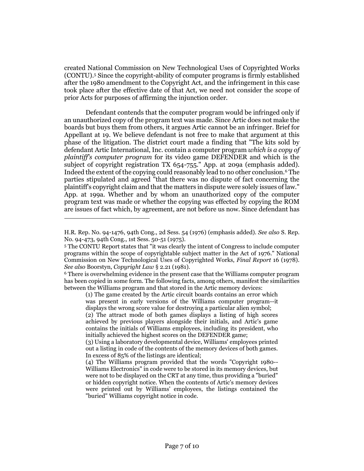created National Commission on New Technological Uses of Copyrighted Works (CONTU).<sup>5</sup> Since the copyright-ability of computer programs is firmly established after the 1980 amendment to the Copyright Act, and the infringement in this case took place after the effective date of that Act, we need not consider the scope of prior Acts for purposes of affirming the injunction order.

Defendant contends that the computer program would be infringed only if an unauthorized copy of the program text was made. Since Artic does not make the boards but buys them from others, it argues Artic cannot be an infringer. Brief for Appellant at 19. We believe defendant is not free to make that argument at this phase of the litigation. The district court made a finding that "The kits sold by defendant Artic International, Inc. contain a computer program *which is a copy of plaintiff's computer program* for its video game DEFENDER and which is the subject of copyright registration TX 654-755." App. at 209a (emphasis added). Indeed the extent of the copying could reasonably lead to no other conclusion.<sup>6</sup> The parties stipulated and agreed "that there was no dispute of fact concerning the plaintiff's copyright claim and that the matters in dispute were solely issues of law." App. at 199a. Whether and by whom an unauthorized copy of the computer program text was made or whether the copying was effected by copying the ROM are issues of fact which, by agreement, are not before us now. Since defendant has

 $\overline{a}$ 

(1) The game created by the Artic circuit boards contains an error which was present in early versions of the Williams computer program--it displays the wrong score value for destroying a particular alien symbol;

H.R. Rep. No. 94-1476, 94th Cong., 2d Sess. 54 (1976) (emphasis added). *See also* S. Rep. No. 94-473, 94th Cong., 1st Sess. 50-51 (1975).

<sup>5</sup> The CONTU Report states that "it was clearly the intent of Congress to include computer programs within the scope of copyrightable subject matter in the Act of 1976." National Commission on New Technological Uses of Copyrighted Works, *Final Report* 16 (1978). *See also* Boorstyn, *Copyright Law* § 2.21 (1981).

<sup>6</sup> There is overwhelming evidence in the present case that the Williams computer program has been copied in some form. The following facts, among others, manifest the similarities between the Williams program and that stored in the Artic memory devices:

<sup>(2)</sup> The attract mode of both games displays a listing of high scores achieved by previous players alongside their initials, and Artic's game contains the initials of Williams employees, including its president, who initially achieved the highest scores on the DEFENDER game;

<sup>(3)</sup> Using a laboratory developmental device, Williams' employees printed out a listing in code of the contents of the memory devices of both games. In excess of 85% of the listings are identical;

<sup>(4)</sup> The Williams program provided that the words "Copyright 1980-- Williams Electronics" in code were to be stored in its memory devices, but were not to be displayed on the CRT at any time, thus providing a "buried" or hidden copyright notice. When the contents of Artic's memory devices were printed out by Williams' employees, the listings contained the "buried" Williams copyright notice in code.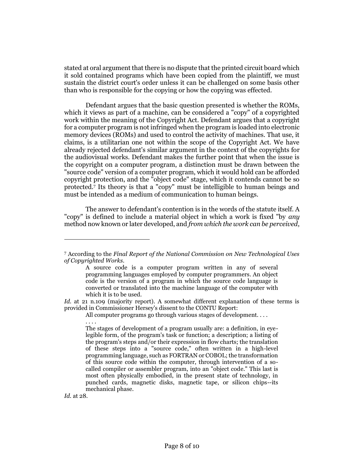stated at oral argument that there is no dispute that the printed circuit board which it sold contained programs which have been copied from the plaintiff, we must sustain the district court's order unless it can be challenged on some basis other than who is responsible for the copying or how the copying was effected.

Defendant argues that the basic question presented is whether the ROMs, which it views as part of a machine, can be considered a "copy" of a copyrighted work within the meaning of the Copyright Act. Defendant argues that a copyright for a computer program is not infringed when the program is loaded into electronic memory devices (ROMs) and used to control the activity of machines. That use, it claims, is a utilitarian one not within the scope of the Copyright Act. We have already rejected defendant's similar argument in the context of the copyrights for the audiovisual works. Defendant makes the further point that when the issue is the copyright on a computer program, a distinction must be drawn between the "source code" version of a computer program, which it would hold can be afforded copyright protection, and the "object code" stage, which it contends cannot be so protected.<sup>7</sup> Its theory is that a "copy" must be intelligible to human beings and must be intended as a medium of communication to human beings.

The answer to defendant's contention is in the words of the statute itself. A "copy" is defined to include a material object in which a work is fixed "by *any* method now known or later developed, and *from which the work can be perceived*,

*Id.* at 21 n.109 (majority report). A somewhat different explanation of these terms is provided in Commissioner Hersey's dissent to the CONTU Report:

All computer programs go through various stages of development....

The stages of development of a program usually are: a definition, in eyelegible form, of the program's task or function; a description; a listing of the program's steps and/or their expression in flow charts; the translation of these steps into a "source code," often written in a high-level programming language, such as FORTRAN or COBOL; the transformation of this source code within the computer, through intervention of a socalled compiler or assembler program, into an "object code." This last is most often physically embodied, in the present state of technology, in punched cards, magnetic disks, magnetic tape, or silicon chips--its mechanical phase.

*Id.* at 28.

. . . .

 $\overline{a}$ 

<sup>7</sup> According to the *Final Report of the National Commission on New Technological Uses of Copyrighted Works*.

A source code is a computer program written in any of several programming languages employed by computer programmers. An object code is the version of a program in which the source code language is converted or translated into the machine language of the computer with which it is to be used.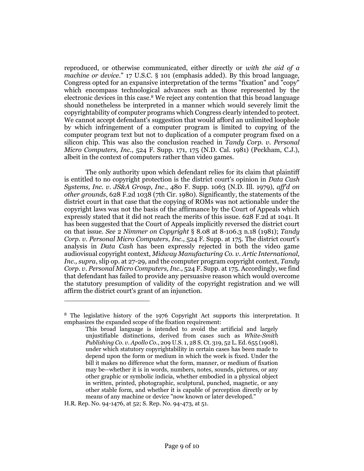reproduced, or otherwise communicated, either directly or *with the aid of a machine or device*." 17 U.S.C. § 101 (emphasis added). By this broad language, Congress opted for an expansive interpretation of the terms "fixation" and "copy" which encompass technological advances such as those represented by the electronic devices in this case.<sup>8</sup> We reject any contention that this broad language should nonetheless be interpreted in a manner which would severely limit the copyrightability of computer programs which Congress clearly intended to protect. We cannot accept defendant's suggestion that would afford an unlimited loophole by which infringement of a computer program is limited to copying of the computer program text but not to duplication of a computer program fixed on a silicon chip. This was also the conclusion reached in *Tandy Corp. v. Personal Micro Computers, Inc*., 524 F. Supp. 171, 175 (N.D. Cal. 1981) (Peckham, C.J.), albeit in the context of computers rather than video games.

The only authority upon which defendant relies for its claim that plaintiff is entitled to no copyright protection is the district court's opinion in *Data Cash Systems, Inc. v. JS&A Group, Inc*., 480 F. Supp. 1063 (N.D. Ill. 1979), *aff'd on other grounds*, 628 F.2d 1038 (7th Cir. 1980). Significantly, the statements of the district court in that case that the copying of ROMs was not actionable under the copyright laws was not the basis of the affirmance by the Court of Appeals which expressly stated that it did not reach the merits of this issue. 628 F.2d at 1041. It has been suggested that the Court of Appeals implicitly reversed the district court on that issue. *See* 2 *Nimmer on Copyright* § 8.08 at 8-106.3 n.18 (1981); *Tandy Corp. v. Personal Micro Computers, Inc*., 524 F. Supp. at 175. The district court's analysis in *Data Cash* has been expressly rejected in both the video game audiovisual copyright context, *Midway Manufacturing Co. v. Artic International, Inc., supra*, slip op. at 27-29, and the computer program copyright context, *Tandy Corp. v. Personal Micro Computers, Inc*., 524 F. Supp. at 175. Accordingly, we find that defendant has failed to provide any persuasive reason which would overcome the statutory presumption of validity of the copyright registration and we will affirm the district court's grant of an injunction.

 $\overline{a}$ 

<sup>8</sup> The legislative history of the 1976 Copyright Act supports this interpretation. It emphasizes the expanded scope of the fixation requirement:

This broad language is intended to avoid the artificial and largely unjustifiable distinctions, derived from cases such as *White-Smith Publishing Co. v. Apollo Co.*, 209 U.S. 1, 28 S. Ct. 319, 52 L. Ed. 655 (1908), under which statutory copyrightability in certain cases has been made to depend upon the form or medium in which the work is fixed. Under the bill it makes no difference what the form, manner, or medium of fixation may be--whether it is in words, numbers, notes, sounds, pictures, or any other graphic or symbolic indicia, whether embodied in a physical object in written, printed, photographic, sculptural, punched, magnetic, or any other stable form, and whether it is capable of perception directly or by means of any machine or device "now known or later developed."

H.R. Rep. No. 94-1476, at 52; S. Rep. No. 94-473, at 51.